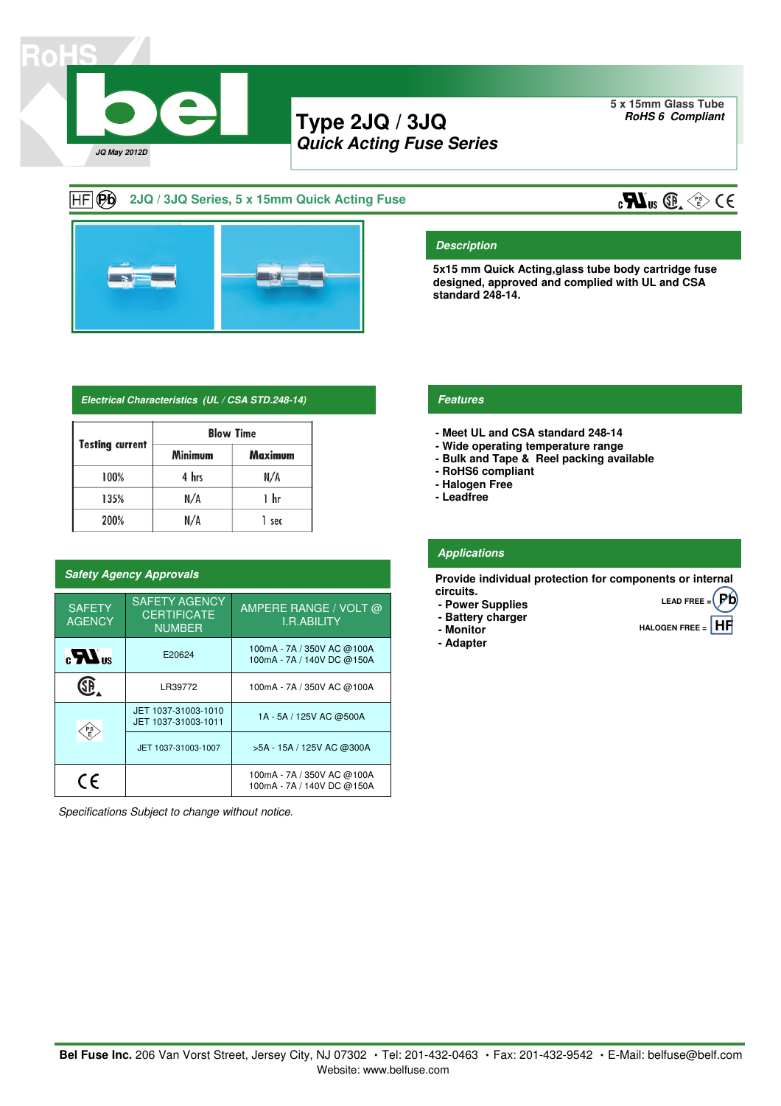

# **Type 2JQ / 3JQ Quick Acting Fuse Series**

**5 x 15mm Glass Tube RoHS 6 Compliant**

### $H = \Theta$ **2JQ / 3JQ Series, 5 x 15mm Quick Acting Fuse**



### **Electrical Characteristics (UL / CSA STD.248-14) Features**

|                        | <b>Blow Time</b> |         |  |  |  |  |
|------------------------|------------------|---------|--|--|--|--|
| <b>Testing current</b> | <b>Minimum</b>   | Maximum |  |  |  |  |
| 100%                   | 4 hrs            | N/A     |  |  |  |  |
| 135%                   | N/A              | 1 hr    |  |  |  |  |
| 200%                   | N/A              | 1 sec   |  |  |  |  |

### **Safety Agency Approvals**

| <b>SAFETY</b><br><b>AGENCY</b> | <b>SAFETY AGENCY</b><br><b>CERTIFICATE</b><br><b>NUMBER</b> | AMPERE RANGE / VOLT @<br><b>I.R.ABILITY</b>              |  |  |
|--------------------------------|-------------------------------------------------------------|----------------------------------------------------------|--|--|
| $_{c}LL$ <sub>us</sub>         | E20624                                                      | 100mA - 7A / 350V AC @100A<br>100mA - 7A / 140V DC @150A |  |  |
| LR39772                        |                                                             | 100mA - 7A / 350V AC @100A                               |  |  |
| PS)<br>E                       | JET 1037-31003-1010<br>JET 1037-31003-1011                  | 1A - 5A / 125V AC @500A                                  |  |  |
|                                | JET 1037-31003-1007                                         | >5A - 15A / 125V AC @300A                                |  |  |
| CE                             |                                                             | 100mA - 7A / 350V AC @100A<br>100mA - 7A / 140V DC @150A |  |  |

Specifications Subject to change without notice.

**Description**

**standard 248-14.**

- **Meet UL and CSA standard 248-14**
- **Wide operating temperature range**
- **Bulk and Tape & Reel packing available**

**5x15 mm Quick Acting,glass tube body cartridge fuse designed, approved and complied with UL and CSA** 

- **RoHS6 compliant**
- **Halogen Free**
- **- Leadfree**

### **Applications**

**Provide individual protection for components or internal circuits. LEAD FREE = Pb**

- **Power Supplies**
- **Battery charger**
- **- Monitor**
- **Adapter**
- 
- 
- **HALOGEN FREE = HF**

Website: www.belfuse.com Bel Fuse Inc. 206 Van Vorst Street, Jersey City, NJ 07302 · Tel: 201-432-0463 · Fax: 201-432-9542 · E-Mail: belfuse@belf.com

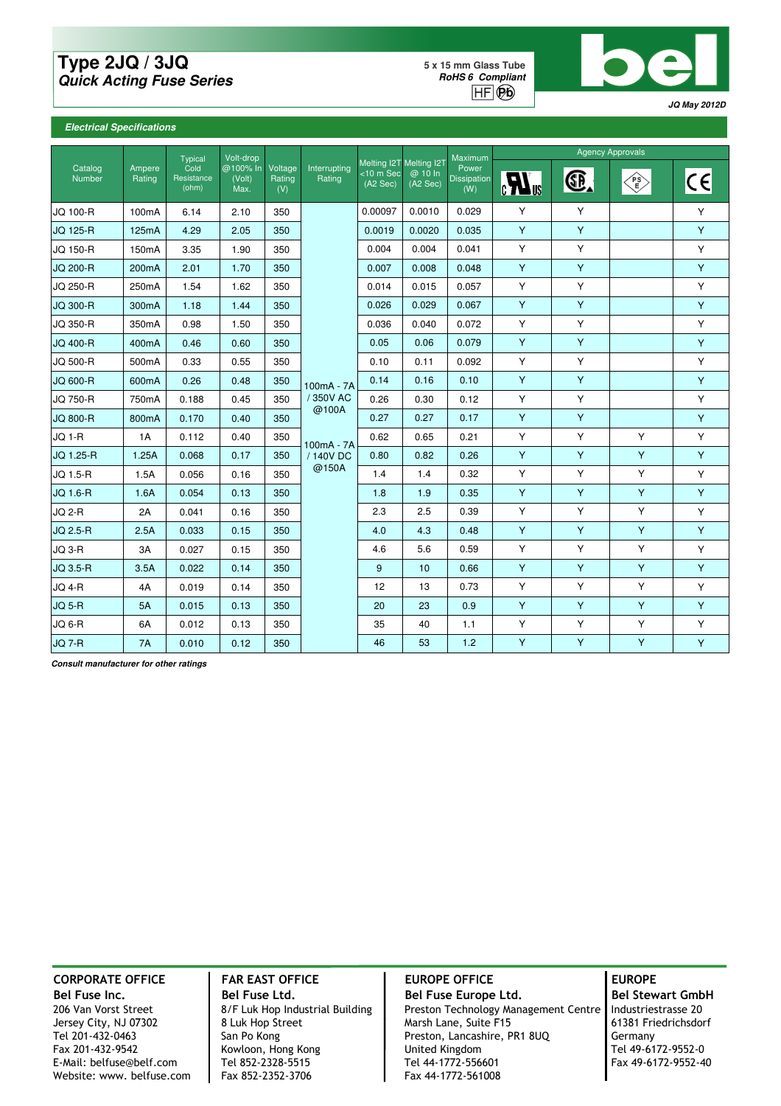## **Type 2JQ / 3JQ Quick Acting Fuse Series**

**5 x 15 mm Glass Tube RoHS 6 Compliant**  $HF$  $\odot$ **p** $\odot$ 



### **Electrical Specifications**

|                   |                    | Volt-drop<br>Typical<br>Cold<br>Resistance<br>(Volt)<br>(ohm)<br>Max. |          | Voltage<br>Rating<br>(V) | Interrupting<br>Rating | Melting I2T Melting I2T<br>$<$ 10 m Sec<br>(A2 Sec) | @ 10 ln<br>(A2 Sec) | Maximum<br>Power<br><b>Dissipation</b><br>(W) | <b>Agency Approvals</b>  |    |           |                                  |
|-------------------|--------------------|-----------------------------------------------------------------------|----------|--------------------------|------------------------|-----------------------------------------------------|---------------------|-----------------------------------------------|--------------------------|----|-----------|----------------------------------|
| Catalog<br>Number | Ampere<br>Rating   |                                                                       | @100% In |                          |                        |                                                     |                     |                                               | $\mathbf{R}_{\text{us}}$ | G. | ′PS<br>∖ይ | $\mathsf{c}\mathsf{c}\mathsf{I}$ |
| JQ 100-R          | 100 <sub>m</sub> A | 6.14                                                                  | 2.10     | 350                      |                        | 0.00097                                             | 0.0010              | 0.029                                         | Y                        | Y  |           | Y                                |
| <b>JQ 125-R</b>   | 125mA              | 4.29                                                                  | 2.05     | 350                      |                        | 0.0019                                              | 0.0020              | 0.035                                         | Y                        | Y  |           | Y                                |
| JQ 150-R          | 150 <sub>m</sub> A | 3.35                                                                  | 1.90     | 350                      |                        | 0.004                                               | 0.004               | 0.041                                         | Y                        | Y  |           | Y                                |
| <b>JQ 200-R</b>   | 200 <sub>m</sub> A | 2.01                                                                  | 1.70     | 350                      |                        | 0.007                                               | 0.008               | 0.048                                         | Y                        | Y  |           | Y                                |
| JQ 250-R          | 250 <sub>m</sub> A | 1.54                                                                  | 1.62     | 350                      |                        | 0.014                                               | 0.015               | 0.057                                         | Y                        | Y  |           | Υ                                |
| <b>JQ 300-R</b>   | 300mA              | 1.18                                                                  | 1.44     | 350                      |                        | 0.026                                               | 0.029               | 0.067                                         | Y                        | Y  |           | Y                                |
| <b>JQ 350-R</b>   | 350mA              | 0.98                                                                  | 1.50     | 350                      |                        | 0.036                                               | 0.040               | 0.072                                         | Y                        | Υ  |           | Y                                |
| JQ 400-R          | 400 <sub>m</sub> A | 0.46                                                                  | 0.60     | 350                      |                        | 0.05                                                | 0.06                | 0.079                                         | Y                        | Y  |           | Υ                                |
| <b>JQ 500-R</b>   | 500 <sub>m</sub> A | 0.33                                                                  | 0.55     | 350                      |                        | 0.10                                                | 0.11                | 0.092                                         | Y                        | Y  |           | Y                                |
| <b>JQ 600-R</b>   | 600mA              | 0.26                                                                  | 0.48     | 350                      | $100mA - 7A$           | 0.14                                                | 0.16                | 0.10                                          | Υ                        | Y  |           | Υ                                |
| <b>JQ 750-R</b>   | 750mA              | 0.188                                                                 | 0.45     | 350                      | / 350V AC              | 0.26                                                | 0.30                | 0.12                                          | Y                        | Y  |           | Y                                |
| <b>JQ 800-R</b>   | 800mA              | 0.170                                                                 | 0.40     | 350                      | @100A                  | 0.27                                                | 0.27                | 0.17                                          | Y                        | Y  |           | Y                                |
| <b>JQ 1-R</b>     | 1A                 | 0.112                                                                 | 0.40     | 350                      | 100mA - 7A             | 0.62                                                | 0.65                | 0.21                                          | Υ                        | Υ  | Y         | Y                                |
| JQ 1.25-R         | 1.25A              | 0.068                                                                 | 0.17     | 350                      | / 140V DC              | 0.80                                                | 0.82                | 0.26                                          | Y                        | Y  | Y         | Y                                |
| JQ 1.5-R          | 1.5A               | 0.056                                                                 | 0.16     | 350                      | @150A                  | 1.4                                                 | 1.4                 | 0.32                                          | Y                        | Y  | Y         | Y                                |
| <b>JQ 1.6-R</b>   | 1.6A               | 0.054                                                                 | 0.13     | 350                      |                        | 1.8                                                 | 1.9                 | 0.35                                          | Y                        | Y  | Y         | Y                                |
| <b>JQ 2-R</b>     | 2A                 | 0.041                                                                 | 0.16     | 350                      |                        | 2.3                                                 | 2.5                 | 0.39                                          | Υ                        | Υ  | Y         | Υ                                |
| <b>JQ 2.5-R</b>   | 2.5A               | 0.033                                                                 | 0.15     | 350                      |                        | 4.0                                                 | 4.3                 | 0.48                                          | Y                        | Y  | Y         | Y                                |
| <b>JQ 3-R</b>     | 3A                 | 0.027                                                                 | 0.15     | 350                      |                        | 4.6                                                 | 5.6                 | 0.59                                          | Y                        | Y  | Y         | Υ                                |
| JQ 3.5-R          | 3.5A               | 0.022                                                                 | 0.14     | 350                      |                        | 9                                                   | 10                  | 0.66                                          | Y                        | Y  | Y         | Y                                |
| <b>JQ 4-R</b>     | 4A                 | 0.019                                                                 | 0.14     | 350                      |                        | 12                                                  | 13                  | 0.73                                          | Y                        | Υ  | Y         | Y                                |
| <b>JQ 5-R</b>     | <b>5A</b>          | 0.015                                                                 | 0.13     | 350                      |                        | 20                                                  | 23                  | 0.9                                           | Y                        | Y  | Y         | Υ                                |
| <b>JQ 6-R</b>     | 6A                 | 0.012                                                                 | 0.13     | 350                      |                        | 35                                                  | 40                  | 1.1                                           | Y                        | Y  | Y         | Y                                |
| <b>JQ 7-R</b>     | 7A                 | 0.010                                                                 | 0.12     | 350                      |                        | 46                                                  | 53                  | 1.2                                           | Y                        | Y  | Y         | Y                                |

**Consult manufacturer for other ratings**

Website: www. belfuse.com Fax 852-2352-3706

Bel Fuse Inc. **Bel Fuse Ltd.** Bel Fuse Ltd. Bel Fuse Europe Ltd. Bel Stewart GmbH E-Mail: belfuse@belf.com Tel 852-2328-5515 Tel 44-1772-556601<br>Website: www. belfuse.com Fax 852-2352-3706 Fax 44-1772-561008

# CORPORATE OFFICE | FAR EAST OFFICE | EUROPE OFFICE | EUROPE

206 Van Vorst Street 8/F Luk Hop Industrial Building Preston Technology Management Centre | Industriestrasse 20 Jersey City, NJ 07302 8 Luk Hop Street Marsh Lane, Suite F15 61381 Friedrichsdorf Tel 201-432-0463 San Po Kong Preston, Lancashire, PR1 8UQ Germany<br>
Fax 201-432-9542 Kowloon, Hong Kong Dirited Kingdom Preston, Lancashire, PR1 8UQ Fax 201-432-9542 Kowloon, Hong Kong United Kingdom Tel 49-6172-9552-0<br>E-Mail: belfuse@belf.com Tel 852-2328-5515 Tel 44-1772-556601 Fax 49-6172-9552-40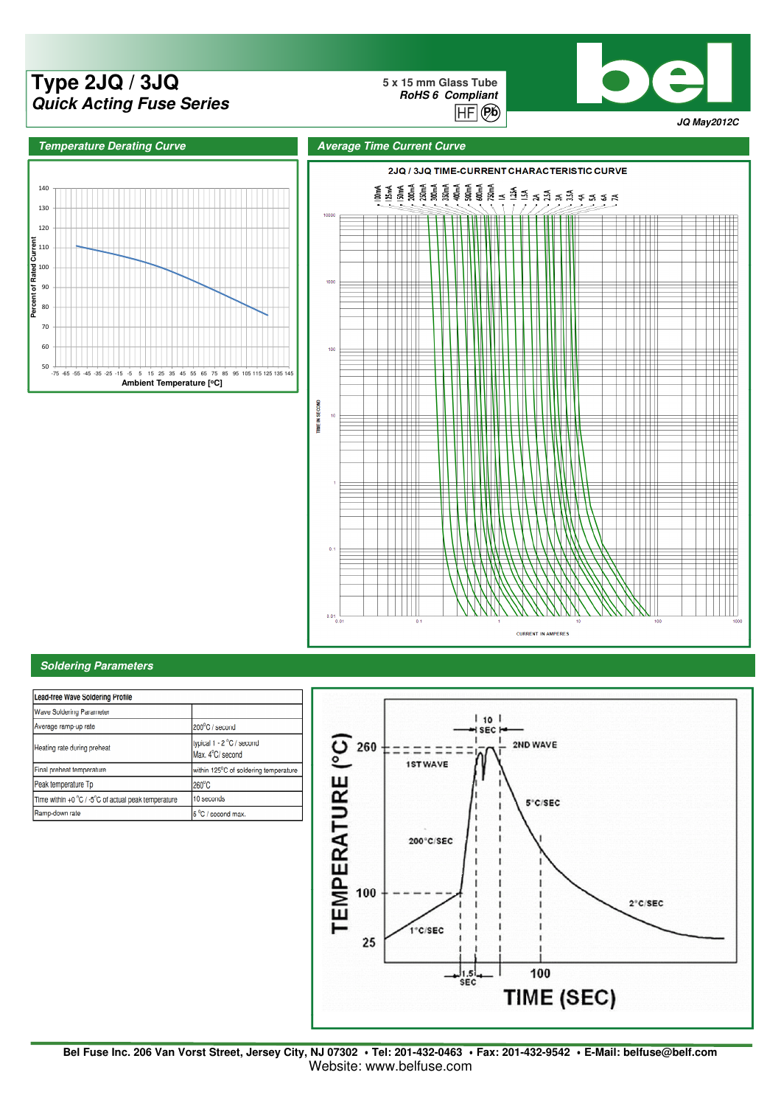# **Type 2JQ / 3JQ** Pb **Quick Acting Fuse Series**

**5 x 15 mm Glass Tube RoHS 6 Compliant**  $\overline{HF}$  $(Bb)$ 







### **Soldering Parameters**

| Lead-free Wave Soldering Profile                    |                                               |  |  |  |  |  |
|-----------------------------------------------------|-----------------------------------------------|--|--|--|--|--|
| Wave Soldering Parameter                            |                                               |  |  |  |  |  |
| Average ramp-up rate                                | 200°C / second                                |  |  |  |  |  |
| Heating rate during preheat                         | typical 1 - 2 °C / second<br>Max. 4°C/ second |  |  |  |  |  |
| Final preheat temperature                           | within 125°C of soldering temperature         |  |  |  |  |  |
| Peak temperature Tp                                 | $260^{\circ}$ C                               |  |  |  |  |  |
| Time within +0 °C / -5°C of actual peak temperature | 10 seconds                                    |  |  |  |  |  |
| Ramp-down rate                                      | 5 °C / second max.                            |  |  |  |  |  |



**Bel Fuse Inc. 206 Van Vorst Street, Jersey City, NJ 07302** ‧**Tel: 201-432-0463** ‧**Fax: 201-432-9542** ‧**E-Mail: belfuse@belf.com** Website: www.belfuse.com